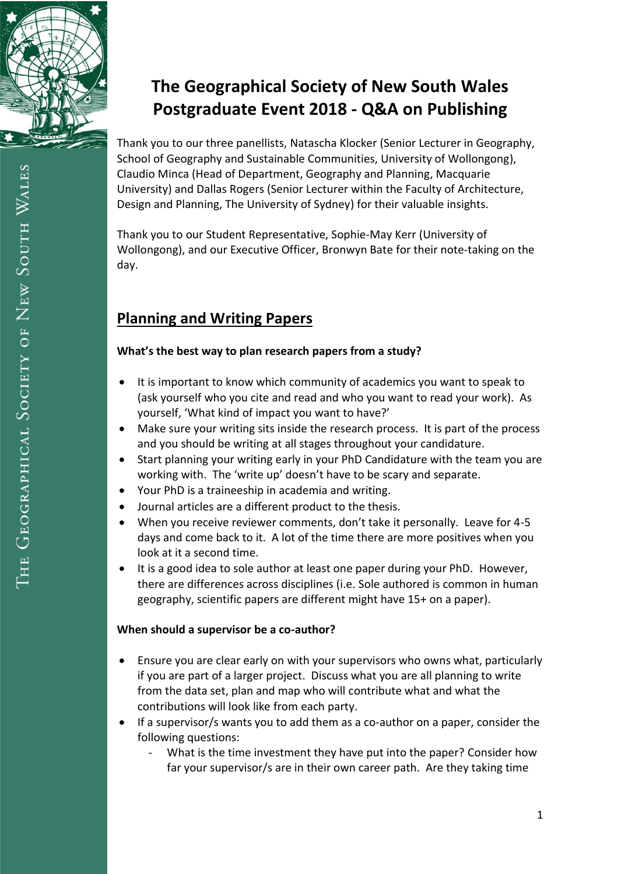

Thank you to our three panellists, Natascha Klocker (Senior Lecturer in Geography, School of Geography and Sustainable Communities, University of Wollongong), Claudio Minca (Head of Department, Geography and Planning, Macquarie University) and Dallas Rogers (Senior Lecturer within the Faculty of Architecture, Design and Planning, The University of Sydney) for their valuable insights.

Thank you to our Student Representative, Sophie-May Kerr (University of Wollongong), and our Executive Officer, Bronwyn Bate for their note-taking on the day.

# **Planning and Writing Papers**

#### **What's the best way to plan research papers from a study?**

- It is important to know which community of academics you want to speak to (ask yourself who you cite and read and who you want to read your work). As yourself, 'What kind of impact you want to have?'
- Make sure your writing sits inside the research process. It is part of the process and you should be writing at all stages throughout your candidature.
- Start planning your writing early in your PhD Candidature with the team you are working with. The 'write up' doesn't have to be scary and separate.
- Your PhD is a traineeship in academia and writing.
- Journal articles are a different product to the thesis.
- When you receive reviewer comments, don't take it personally. Leave for 4-5 days and come back to it. A lot of the time there are more positives when you look at it a second time.
- It is a good idea to sole author at least one paper during your PhD. However, there are differences across disciplines (i.e. Sole authored is common in human geography, scientific papers are different might have 15+ on a paper).

#### **When should a supervisor be a co-author?**

- Ensure you are clear early on with your supervisors who owns what, particularly if you are part of a larger project. Discuss what you are all planning to write from the data set, plan and map who will contribute what and what the contributions will look like from each party.
- If a supervisor/s wants you to add them as a co-author on a paper, consider the following questions:
	- What is the time investment they have put into the paper? Consider how far your supervisor/s are in their own career path. Are they taking time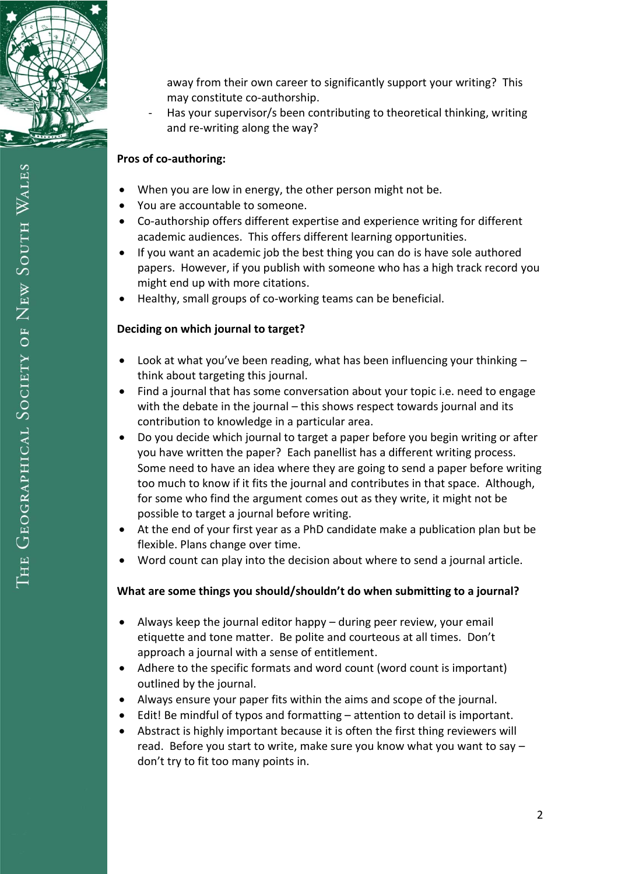

away from their own career to significantly support your writing? This may constitute co-authorship.

Has your supervisor/s been contributing to theoretical thinking, writing and re-writing along the way?

## **Pros of co-authoring:**

- When you are low in energy, the other person might not be.
- You are accountable to someone.
- Co-authorship offers different expertise and experience writing for different academic audiences. This offers different learning opportunities.
- If you want an academic job the best thing you can do is have sole authored papers. However, if you publish with someone who has a high track record you might end up with more citations.
- Healthy, small groups of co-working teams can be beneficial.

## **Deciding on which journal to target?**

- $\bullet$  Look at what you've been reading, what has been influencing your thinking  $$ think about targeting this journal.
- Find a journal that has some conversation about your topic i.e. need to engage with the debate in the journal – this shows respect towards journal and its contribution to knowledge in a particular area.
- Do you decide which journal to target a paper before you begin writing or after you have written the paper? Each panellist has a different writing process. Some need to have an idea where they are going to send a paper before writing too much to know if it fits the journal and contributes in that space. Although, for some who find the argument comes out as they write, it might not be possible to target a journal before writing.
- At the end of your first year as a PhD candidate make a publication plan but be flexible. Plans change over time.
- Word count can play into the decision about where to send a journal article.

#### **What are some things you should/shouldn't do when submitting to a journal?**

- Always keep the journal editor happy during peer review, your email etiquette and tone matter. Be polite and courteous at all times. Don't approach a journal with a sense of entitlement.
- Adhere to the specific formats and word count (word count is important) outlined by the journal.
- Always ensure your paper fits within the aims and scope of the journal.
- Edit! Be mindful of typos and formatting attention to detail is important.
- Abstract is highly important because it is often the first thing reviewers will read. Before you start to write, make sure you know what you want to say – don't try to fit too many points in.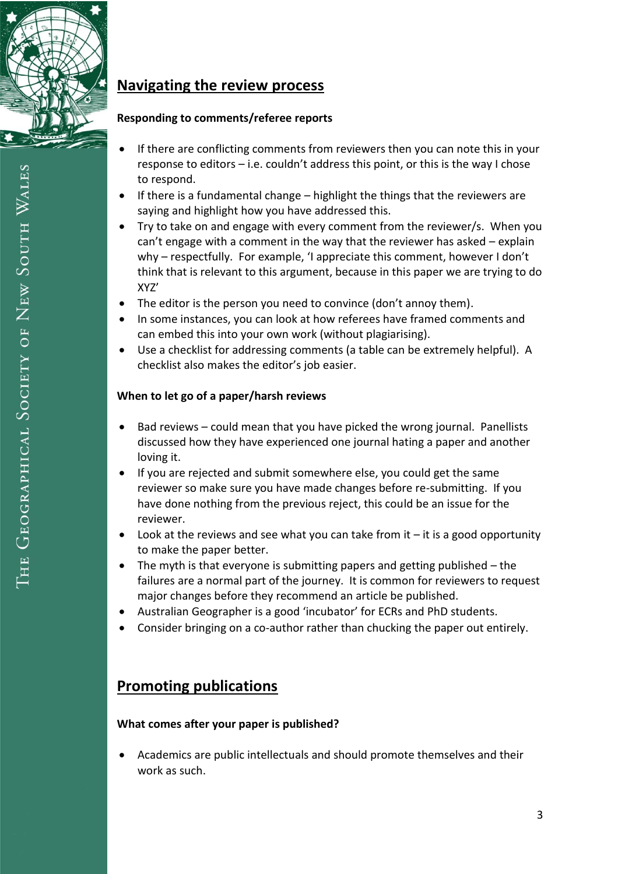

# **Navigating the review process**

#### **Responding to comments/referee reports**

- If there are conflicting comments from reviewers then you can note this in your response to editors – i.e. couldn't address this point, or this is the way I chose to respond.
- $\bullet$  If there is a fundamental change highlight the things that the reviewers are saying and highlight how you have addressed this.
- Try to take on and engage with every comment from the reviewer/s. When you can't engage with a comment in the way that the reviewer has asked – explain why – respectfully. For example, 'I appreciate this comment, however I don't think that is relevant to this argument, because in this paper we are trying to do XYZ'
- The editor is the person you need to convince (don't annoy them).
- In some instances, you can look at how referees have framed comments and can embed this into your own work (without plagiarising).
- Use a checklist for addressing comments (a table can be extremely helpful). A checklist also makes the editor's job easier.

## **When to let go of a paper/harsh reviews**

- Bad reviews could mean that you have picked the wrong journal. Panellists discussed how they have experienced one journal hating a paper and another loving it.
- If you are rejected and submit somewhere else, you could get the same reviewer so make sure you have made changes before re-submitting. If you have done nothing from the previous reject, this could be an issue for the reviewer.
- $\bullet$  Look at the reviews and see what you can take from it  $-$  it is a good opportunity to make the paper better.
- The myth is that everyone is submitting papers and getting published the failures are a normal part of the journey. It is common for reviewers to request major changes before they recommend an article be published.
- Australian Geographer is a good 'incubator' for ECRs and PhD students.
- Consider bringing on a co-author rather than chucking the paper out entirely.

# **Promoting publications**

## **What comes after your paper is published?**

 Academics are public intellectuals and should promote themselves and their work as such.